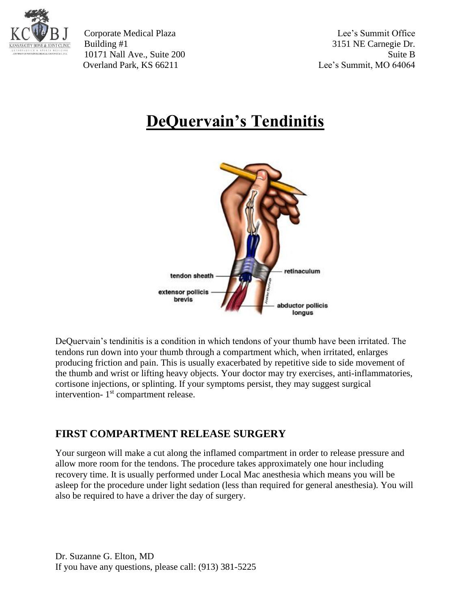

Corporate Medical Plaza Lee's Summit Office Building #1 3151 NE Carnegie Dr. 10171 Nall Ave., Suite 200 Suite B Overland Park, KS 66211 Lee's Summit, MO 64064

## **DeQuervain's Tendinitis**



DeQuervain's tendinitis is a condition in which tendons of your thumb have been irritated. The tendons run down into your thumb through a compartment which, when irritated, enlarges producing friction and pain. This is usually exacerbated by repetitive side to side movement of the thumb and wrist or lifting heavy objects. Your doctor may try exercises, anti-inflammatories, cortisone injections, or splinting. If your symptoms persist, they may suggest surgical intervention- 1<sup>st</sup> compartment release.

## **FIRST COMPARTMENT RELEASE SURGERY**

Your surgeon will make a cut along the inflamed compartment in order to release pressure and allow more room for the tendons. The procedure takes approximately one hour including recovery time. It is usually performed under Local Mac anesthesia which means you will be asleep for the procedure under light sedation (less than required for general anesthesia). You will also be required to have a driver the day of surgery.